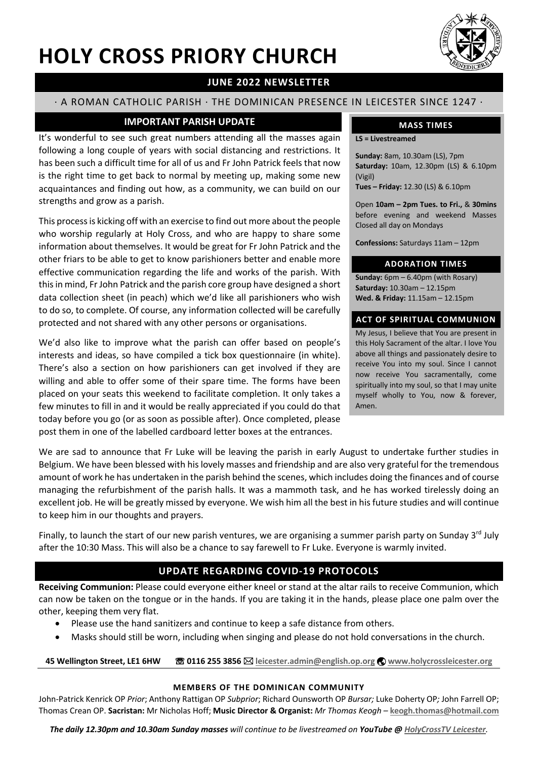# **HOLY CROSS PRIORY CHURCH**



## **JUNE 2022 NEWSLETTER**

## · A ROMAN CATHOLIC PARISH · THE DOMINICAN PRESENCE IN LEICESTER SINCE 1247 ·

## **IMPORTANT PARISH UPDATE**

It's wonderful to see such great numbers attending all the masses again following a long couple of years with social distancing and restrictions. It has been such a difficult time for all of us and Fr John Patrick feels that now is the right time to get back to normal by meeting up, making some new acquaintances and finding out how, as a community, we can build on our strengths and grow as a parish.

This process is kicking off with an exercise to find out more about the people who worship regularly at Holy Cross, and who are happy to share some information about themselves. It would be great for Fr John Patrick and the other friars to be able to get to know parishioners better and enable more effective communication regarding the life and works of the parish. With this in mind, Fr John Patrick and the parish core group have designed a short data collection sheet (in peach) which we'd like all parishioners who wish to do so, to complete. Of course, any information collected will be carefully protected and not shared with any other persons or organisations.

We'd also like to improve what the parish can offer based on people's interests and ideas, so have compiled a tick box questionnaire (in white). There's also a section on how parishioners can get involved if they are willing and able to offer some of their spare time. The forms have been placed on your seats this weekend to facilitate completion. It only takes a few minutes to fill in and it would be really appreciated if you could do that today before you go (or as soon as possible after). Once completed, please post them in one of the labelled cardboard letter boxes at the entrances.

## **MASS TIMES**

**LS = Livestreamed**

**Sunday:** 8am, 10.30am (LS), 7pm **Saturday:** 10am, 12.30pm (LS) & 6.10pm (Vigil)

**Tues – Friday:** 12.30 (LS) & 6.10pm

Open **10am – 2pm Tues. to Fri.,** & **30mins** before evening and weekend Masses Closed all day on Mondays

**Confessions:** Saturdays 11am – 12pm

### **ADORATION TIMES**

**Sunday:** 6pm – 6.40pm (with Rosary) **Saturday:** 10.30am – 12.15pm **Wed. & Friday:** 11.15am – 12.15pm

## **ACT OF SPIRITUAL COMMUNION**

My Jesus, I believe that You are present in this Holy Sacrament of the altar. I love You above all things and passionately desire to receive You into my soul. Since I cannot now receive You sacramentally, come spiritually into my soul, so that I may unite myself wholly to You, now & forever, Amen.

We are sad to announce that Fr Luke will be leaving the parish in early August to undertake further studies in Belgium. We have been blessed with his lovely masses and friendship and are also very grateful for the tremendous amount of work he has undertaken in the parish behind the scenes, which includes doing the finances and of course managing the refurbishment of the parish halls. It was a mammoth task, and he has worked tirelessly doing an excellent job. He will be greatly missed by everyone. We wish him all the best in his future studies and will continue to keep him in our thoughts and prayers.

Finally, to launch the start of our new parish ventures, we are organising a summer parish party on Sunday  $3^{rd}$  July after the 10:30 Mass. This will also be a chance to say farewell to Fr Luke. Everyone is warmly invited.

## **UPDATE REGARDING COVID-19 PROTOCOLS**

**Receiving Communion:** Please could everyone either kneel or stand at the altar rails to receive Communion, which can now be taken on the tongue or in the hands. If you are taking it in the hands, please place one palm over the other, keeping them very flat.

- Please use the hand sanitizers and continue to keep a safe distance from others.
- Masks should still be worn, including when singing and please do not hold conversations in the church.

**45 Wellington Street, LE1 6HW** ☏ **0116 255 3856** \* **leicester.admin@english.op.org** ý **www.holycrossleicester.org**

#### **MEMBERS OF THE DOMINICAN COMMUNITY**

John-Patrick Kenrick OP *Prior*; Anthony Rattigan OP *Subprior*; Richard Ounsworth OP *Bursar;* Luke Doherty OP*;* John Farrell OP; Thomas Crean OP. **Sacristan:** Mr Nicholas Hoff; **Music Director & Organist:** *Mr Thomas Keogh –* **keogh.thomas@hotmail.com**

*The daily 12.30pm and 10.30am Sunday masses will continue to be livestreamed on YouTube @ HolyCrossTV Leicester.*